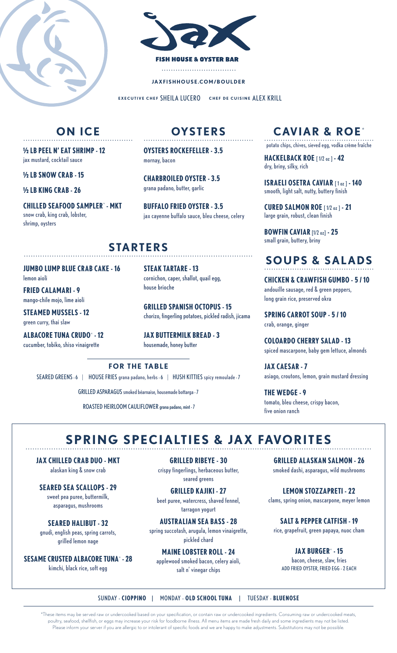



**JAXFISHHOUSE.COM/BOULDER**

**EXECUTIVE CHEF** SHEILA LUCERO **CHEF DE CUISINE** ALEX KRILL

## **ON ICE**

**½ LB PEEL N' EAT SHRIMP - 12** jax mustard, cocktail sauce

**½ LB SNOW CRAB - 15**

**½ LB KING CRAB - 26**

**CHILLED SEAFOOD SAMPLER**\*  **- MKT** snow crab, king crab, lobster, shrimp, oysters

**OYSTERS** ...............................................

**OYSTERS ROCKEFELLER - 3.5** mornay, bacon

**CHARBROILED OYSTER - 3.5** grana padano, butter, garlic

**BUFFALO FRIED OYSTER - 3.5** jax cayenne buffalo sauce, bleu cheese, celery

### **STARTERS**

**JUMBO LUMP BLUE CRAB CAKE - 16** lemon aioli

**FRIED CALAMARI - 9** mango-chile mojo, lime aioli

**STEAMED MUSSELS - 12** green curry, thai slaw

**ALBACORE TUNA CRUDO**\* **- 12** cucumber, tobiko, shiso vinaigrette

**STEAK TARTARE - 13**

cornichon, caper, shallot, quail egg, house brioche

**GRILLED SPANISH OCTOPUS - 15** chorizo, fingerling potatoes, pickled radish, jicama

**JAX BUTTERMILK BREAD - 3** housemade, honey butter

#### **FOR THE TABLE**

SEARED GREENS - 6 | HOUSE FRIES grana padano, herbs - 6 | HUSH KITTIES spicy remoulade - 7

GRILLED ASPARAGUS smoked béarnaise, housemade bottarga - 7

ROASTED HEIRLOOM CAULIFLOWER grana padano, mint - 7

### **CAVIAR & ROE**\*

............................................... potato chips, chives, sieved egg, vodka crème fraîche

**HACKELBACK ROE** [ 1/2 oz ] **- 42** dry, briny, silky, rich

**ISRAELI OSETRA CAVIAR** [ 1 oz ] **- 140** smooth, light salt, nutty, buttery finish

**CURED SALMON ROE** [ 1/2 oz ] **- 21** large grain, robust, clean finish

**BOWFIN CAVIAR** [1/2 oz] **- 25** small grain, buttery, briny

#### **SOUPS & SALADS** ...............................................

**CHICKEN & CRAWFISH GUMBO - 5 / 10** andouille sausage, red & green peppers, long grain rice, preserved okra

**SPRING CARROT SOUP - 5 / 10** crab, orange, ginger

**COLOARDO CHERRY SALAD - 13** spiced mascarpone, baby gem lettuce, almonds

**JAX CAESAR - 7** asiago, croutons, lemon, grain mustard dressing

**THE WEDGE - 9** tomato, bleu cheese, crispy bacon, five onion ranch

## SPRING SPECIALTIES & JAX FAVORITES

**JAX CHILLED CRAB DUO - MKT** alaskan king & snow crab

**SEARED SEA SCALLOPS - 29** sweet pea puree, buttermilk, asparagus, mushrooms

**SEARED HALIBUT - 32** gnudi, english peas, spring carrots, grilled lemon nage

**SESAME CRUSTED ALBACORE TUNA**\* **- 28** kimchi, black rice, soft egg

**GRILLED RIBEYE - 30** crispy fingerlings, herbaceous butter, seared greens

**GRILLED KAJIKI - 27**  beet puree, watercress, shaved fennel, tarragon yogurt

**AUSTRALIAN SEA BASS - 28** spring succotash, arugula, lemon vinaigrette, pickled chard

**MAINE LOBSTER ROLL - 24** applewood smoked bacon, celery aioli, salt n' vinegar chips

**GRILLED ALASKAN SALMON - 26** smoked dashi, asparagus, wild mushrooms

**LEMON STOZZAPRETI - 22** clams, spring onion, mascarpone, meyer lemon

**SALT & PEPPER CATFISH - 19** rice, grapefruit, green papaya, nuoc cham

**JAX BURGER**\* **- 15** bacon, cheese, slaw, fries ADD FRIED OYSTER, FRIED EGG - 2 EACH

SUNDAY - **CIOPPINO** | MONDAY - **OLD SCHOOL TUNA** | TUESDAY - **BLUENOSE**

\*These items may be served raw or undercooked based on your specification, or contain raw or undercooked ingredients. Consuming raw or undercooked meats, poultry, seafood, shellfish, or eggs may increase your risk for foodborne illness. All menu items are made fresh daily and some ingredients may not be listed. Please inform your server if you are allergic to or intolerant of specific foods and we are happy to make adjustments. Substitutions may not be possible.